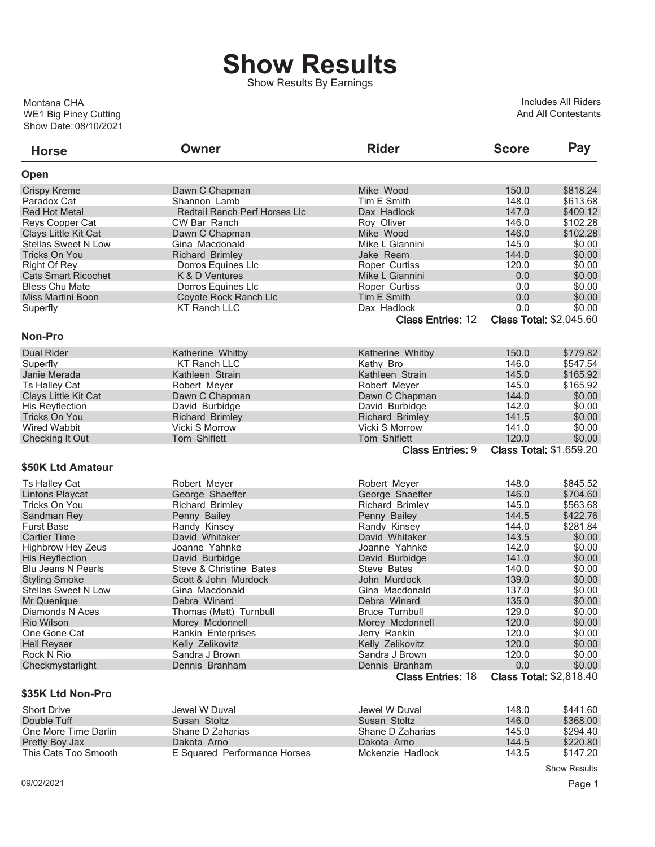## **Show Results**

Show Results By Earnings

Show Date: 08/10/2021 WE1 Big Piney Cutting Montana CHA

Includes All Riders And All Contestants

| <b>Horse</b>               | Owner                                | <b>Rider</b>             | <b>Score</b> | Pay                            |
|----------------------------|--------------------------------------|--------------------------|--------------|--------------------------------|
| Open                       |                                      |                          |              |                                |
| <b>Crispy Kreme</b>        | Dawn C Chapman                       | Mike Wood                | 150.0        | \$818.24                       |
| Paradox Cat                | Shannon Lamb                         | Tim E Smith              | 148.0        | \$613.68                       |
| <b>Red Hot Metal</b>       | <b>Redtail Ranch Perf Horses Llc</b> | Dax Hadlock              | 147.0        | \$409.12                       |
| Reys Copper Cat            | CW Bar Ranch                         | Roy Oliver               | 146.0        | \$102.28                       |
| Clays Little Kit Cat       | Dawn C Chapman                       | Mike Wood                | 146.0        | \$102.28                       |
| <b>Stellas Sweet N Low</b> | Gina Macdonald                       | Mike L Giannini          | 145.0        | \$0.00                         |
| <b>Tricks On You</b>       | <b>Richard Brimley</b>               | Jake Ream                | 144.0        | \$0.00                         |
| <b>Right Of Rey</b>        | Dorros Equines Llc                   | Roper Curtiss            | 120.0        | \$0.00                         |
| <b>Cats Smart Ricochet</b> | K & D Ventures                       | Mike L Giannini          | 0.0          | \$0.00                         |
| <b>Bless Chu Mate</b>      | Dorros Equines Llc                   | Roper Curtiss            | 0.0          | \$0.00                         |
| Miss Martini Boon          | Coyote Rock Ranch Llc                | Tim E Smith              | 0.0          | \$0.00                         |
| Superfly                   | <b>KT Ranch LLC</b>                  | Dax Hadlock              | 0.0          | \$0.00                         |
|                            |                                      | <b>Class Entries: 12</b> |              | <b>Class Total: \$2,045.60</b> |
| <b>Non-Pro</b>             |                                      |                          |              |                                |
| <b>Dual Rider</b>          | Katherine Whitby                     | Katherine Whitby         | 150.0        | \$779.82                       |
| Superfly                   | <b>KT Ranch LLC</b>                  | Kathy Bro                | 146.0        | \$547.54                       |
| Janie Merada               | Kathleen Strain                      | Kathleen Strain          | 145.0        | \$165.92                       |
| <b>Ts Halley Cat</b>       | Robert Meyer                         | Robert Meyer             | 145.0        | \$165.92                       |
| Clays Little Kit Cat       | Dawn C Chapman                       | Dawn C Chapman           | 144.0        | \$0.00                         |
| His Reyflection            | David Burbidge                       | David Burbidge           | 142.0        | \$0.00                         |
| <b>Tricks On You</b>       | <b>Richard Brimley</b>               | <b>Richard Brimley</b>   | 141.5        | \$0.00                         |
| <b>Wired Wabbit</b>        | Vicki S Morrow                       | Vicki S Morrow           | 141.0        | \$0.00                         |
| <b>Checking It Out</b>     | Tom Shiflett                         | Tom Shiflett             | 120.0        | \$0.00                         |
|                            |                                      | <b>Class Entries: 9</b>  |              | <b>Class Total: \$1,659.20</b> |
| \$50K Ltd Amateur          |                                      |                          |              |                                |
| <b>Ts Halley Cat</b>       | Robert Meyer                         | Robert Meyer             | 148.0        | \$845.52                       |
| <b>Lintons Playcat</b>     | George Shaeffer                      | George Shaeffer          | 146.0        | \$704.60                       |
| Tricks On You              | <b>Richard Brimley</b>               | <b>Richard Brimley</b>   | 145.0        | \$563.68                       |
| Sandman Rey                | Penny Bailey                         | Penny Bailey             | 144.5        | \$422.76                       |
| <b>Furst Base</b>          | Randy Kinsey                         | Randy Kinsey             | 144.0        | \$281.84                       |
| <b>Cartier Time</b>        | David Whitaker                       | David Whitaker           | 143.5        | \$0.00                         |
| <b>Highbrow Hey Zeus</b>   | Joanne Yahnke                        | Joanne Yahnke            | 142.0        | \$0.00                         |
| <b>His Reyflection</b>     | David Burbidge                       | David Burbidge           | 141.0        | \$0.00                         |
| <b>Blu Jeans N Pearls</b>  | Steve & Christine Bates              | Steve Bates              | 140.0        | \$0.00                         |
| <b>Styling Smoke</b>       | Scott & John Murdock                 | John Murdock             | 139.0        | \$0.00                         |
| <b>Stellas Sweet N Low</b> | Gina Macdonald                       | Gina Macdonald           | 137.0        | \$0.00                         |
| Mr Quenique                | Debra Winard                         | Debra Winard             | 135.0        | \$0.00                         |
| Diamonds N Aces            | Thomas (Matt) Turnbull               | <b>Bruce Turnbull</b>    | 129.0        | \$0.00                         |
| <b>Rio Wilson</b>          | Morey Mcdonnell                      | Morey Mcdonnell          | 120.0        | \$0.00                         |
| One Gone Cat               | Rankin Enterprises                   | Jerry Rankin             | 120.0        | \$0.00                         |
| <b>Hell Reyser</b>         | Kelly Zelikovitz                     | Kelly Zelikovitz         | 120.0        | \$0.00                         |
| Rock N Rio                 | Sandra J Brown                       | Sandra J Brown           | 120.0        | \$0.00                         |
| Checkmystarlight           | Dennis Branham                       | Dennis Branham           | 0.0          | \$0.00                         |
|                            |                                      | <b>Class Entries: 18</b> |              | <b>Class Total: \$2,818.40</b> |
| \$35K Ltd Non-Pro          |                                      |                          |              |                                |
| <b>Short Drive</b>         | Jewel W Duval                        | Jewel W Duval            | 148.0        | \$441.60                       |
| Double Tuff                | Susan Stoltz                         | Susan Stoltz             | 146.0        | \$368.00                       |
| One More Time Darlin       | Shane D Zaharias                     | Shane D Zaharias         | 145.0        | \$294.40                       |
| Pretty Boy Jax             | Dakota Arno                          | Dakota Arno              | 144.5        | \$220.80                       |
| This Cats Too Smooth       | E Squared Performance Horses         | Mckenzie Hadlock         | 143.5        | \$147.20                       |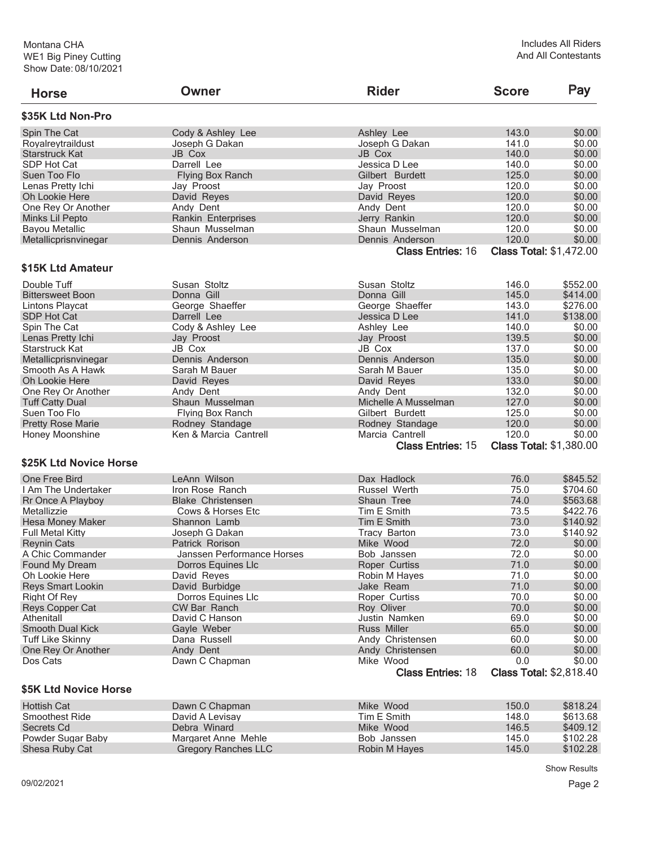| <b>Horse</b>             | Owner                      | <b>Rider</b>                          | <b>Score</b> | Pay                                      |
|--------------------------|----------------------------|---------------------------------------|--------------|------------------------------------------|
| \$35K Ltd Non-Pro        |                            |                                       |              |                                          |
| Spin The Cat             | Cody & Ashley Lee          | Ashley Lee                            | 143.0        | \$0.00                                   |
| Royalreytraildust        | Joseph G Dakan             | Joseph G Dakan                        | 141.0        | \$0.00                                   |
| <b>Starstruck Kat</b>    | JB Cox                     | JB Cox                                | 140.0        | \$0.00                                   |
| SDP Hot Cat              | Darrell Lee                | Jessica D Lee                         | 140.0        | \$0.00                                   |
| Suen Too Flo             | <b>Flying Box Ranch</b>    | Gilbert Burdett                       | 125.0        | \$0.00                                   |
| Lenas Pretty Ichi        | Jay Proost                 | Jay Proost                            | 120.0        | \$0.00                                   |
| Oh Lookie Here           | David Reyes                | David Reyes                           | 120.0        | \$0.00                                   |
| One Rey Or Another       | Andy Dent                  | Andy Dent                             | 120.0        | \$0.00                                   |
| Minks Lil Pepto          | Rankin Enterprises         | Jerry Rankin                          | 120.0        | \$0.00                                   |
| <b>Bayou Metallic</b>    | Shaun Musselman            | Shaun Musselman                       | 120.0        | \$0.00                                   |
| Metallicprisnvinegar     | Dennis Anderson            | Dennis Anderson                       | 120.0        | \$0.00                                   |
|                          |                            | <b>Class Entries: 16</b>              |              | <b>Class Total: \$1,472.00</b>           |
| \$15K Ltd Amateur        |                            |                                       |              |                                          |
| Double Tuff              | Susan Stoltz               | Susan Stoltz                          | 146.0        | \$552.00                                 |
| <b>Bittersweet Boon</b>  | Donna Gill                 | Donna Gill                            | 145.0        | \$414.00                                 |
| Lintons Playcat          | George Shaeffer            | George Shaeffer                       | 143.0        | \$276.00                                 |
| SDP Hot Cat              | Darrell Lee                | Jessica D Lee                         | 141.0        | \$138.00                                 |
| Spin The Cat             | Cody & Ashley Lee          | Ashley Lee                            | 140.0        | \$0.00                                   |
| Lenas Pretty Ichi        | Jay Proost                 | Jay Proost                            | 139.5        | \$0.00                                   |
| Starstruck Kat           | JB Cox                     | JB Cox                                | 137.0        | \$0.00                                   |
| Metallicprisnvinegar     | Dennis Anderson            | Dennis Anderson                       | 135.0        | \$0.00                                   |
| Smooth As A Hawk         | Sarah M Bauer              | Sarah M Bauer                         | 135.0        | \$0.00                                   |
| Oh Lookie Here           | David Reyes                | David Reyes                           | 133.0        | \$0.00                                   |
| One Rey Or Another       | Andy Dent                  | Andy Dent                             | 132.0        | \$0.00                                   |
| <b>Tuff Catty Dual</b>   | Shaun Musselman            | Michelle A Musselman                  | 127.0        | \$0.00                                   |
| Suen Too Flo             | <b>Flying Box Ranch</b>    | Gilbert Burdett                       | 125.0        | \$0.00                                   |
| <b>Pretty Rose Marie</b> | Rodney Standage            | Rodney Standage                       | 120.0        | \$0.00                                   |
| Honey Moonshine          | Ken & Marcia Cantrell      | Marcia Cantrell                       | 120.0        | \$0.00                                   |
|                          |                            | <b>Class Entries: 15</b>              |              | <b>Class Total: \$1,380.00</b>           |
| \$25K Ltd Novice Horse   |                            |                                       |              |                                          |
| One Free Bird            | LeAnn Wilson               | Dax Hadlock                           | 76.0         | \$845.52                                 |
| I Am The Undertaker      | Iron Rose Ranch            | Russel Werth                          | 75.0         | \$704.60                                 |
| Rr Once A Playboy        | <b>Blake Christensen</b>   | Shaun Tree                            | 74.0         | \$563.68                                 |
| Metallizzie              | Cows & Horses Etc          | Tim E Smith                           | 73.5         | \$422.76                                 |
| Hesa Money Maker         | Shannon Lamb               | Tim E Smith                           | 73.0         | \$140.92                                 |
| <b>Full Metal Kitty</b>  | Joseph G Dakan             | <b>Tracy Barton</b>                   | 73.0         | \$140.92                                 |
| <b>Reynin Cats</b>       | Patrick Rorison            | Mike Wood                             | 72.0         | \$0.00                                   |
| A Chic Commander         | Janssen Performance Horses | Bob Janssen                           | 72.0         | \$0.00                                   |
| Found My Dream           | Dorros Equines Llc         | Roper Curtiss                         | 71.0         | \$0.00                                   |
| Oh Lookie Here           | David Reyes                | Robin M Hayes                         | 71.0         | \$0.00                                   |
| <b>Reys Smart Lookin</b> | David Burbidge             | Jake Ream                             | 71.0         | \$0.00                                   |
| Right Of Rey             | Dorros Equines Llc         | Roper Curtiss                         | 70.0         | \$0.00                                   |
| Reys Copper Cat          | <b>CW Bar Ranch</b>        | Roy Oliver                            | 70.0         | \$0.00                                   |
| Athenitall               |                            | Justin Namken                         | 69.0         | \$0.00                                   |
|                          | David C Hanson             | <b>Russ Miller</b>                    |              |                                          |
| Smooth Dual Kick         | Gayle Weber                |                                       | 65.0         | \$0.00                                   |
| <b>Tuff Like Skinny</b>  | Dana Russell               | Andy Christensen                      | 60.0         | \$0.00                                   |
| One Rey Or Another       | Andy Dent                  | Andy Christensen                      | 60.0         | \$0.00                                   |
| Dos Cats                 | Dawn C Chapman             | Mike Wood<br><b>Class Entries: 18</b> | 0.0          | \$0.00<br><b>Class Total: \$2,818.40</b> |
| \$5K Ltd Novice Horse    |                            |                                       |              |                                          |
| <b>Hottish Cat</b>       | Dawn C Chapman             | Mike Wood                             | 150.0        | \$818.24                                 |
| Smoothest Ride           | David A Levisay            | Tim E Smith                           | 148.0        | \$613.68                                 |
| Secrets Cd               | Debra Winard               | Mike Wood                             | 146.5        | \$409.12                                 |
| Powder Sugar Baby        | Margaret Anne Mehle        | Bob Janssen                           | 145.0        | \$102.28                                 |

Powder Sugar Baby Margaret Anne Mehle Bob Janssen 145.0 \$102.28<br>
Shesa Ruby Cat Gregory Ranches LLC Robin M Hayes 145.0 \$102.28

Gregory Ranches LLC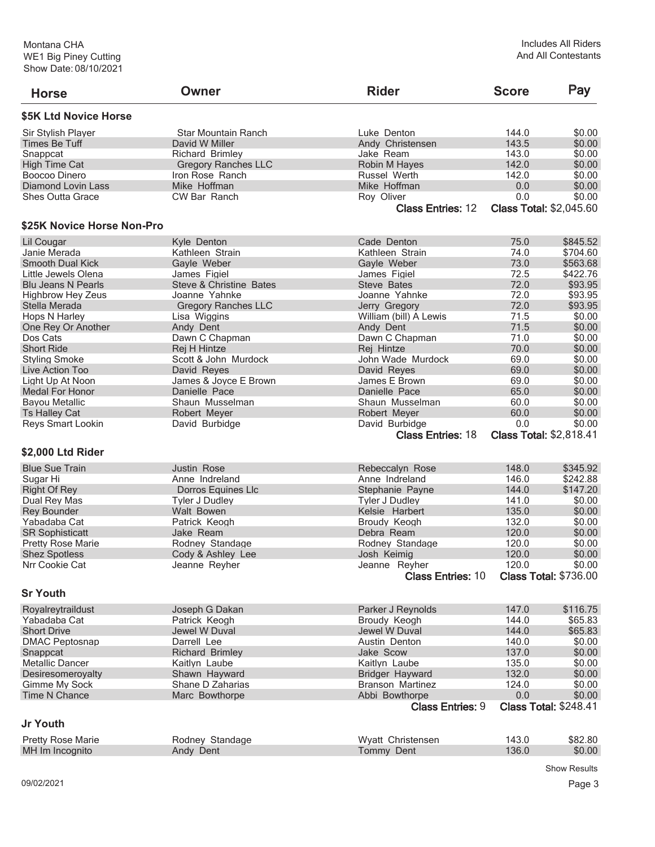| <b>Horse</b>               | Owner                      | <b>Rider</b>             | <b>Score</b> | Pay                            |
|----------------------------|----------------------------|--------------------------|--------------|--------------------------------|
| \$5K Ltd Novice Horse      |                            |                          |              |                                |
| Sir Stylish Player         | Star Mountain Ranch        | Luke Denton              | 144.0        | \$0.00                         |
| Times Be Tuff              | David W Miller             | Andy Christensen         | 143.5        | \$0.00                         |
| Snappcat                   | <b>Richard Brimlev</b>     | Jake Ream                | 143.0        | \$0.00                         |
| <b>High Time Cat</b>       | <b>Gregory Ranches LLC</b> | Robin M Hayes            | 142.0        | \$0.00                         |
| Boocoo Dinero              | Iron Rose Ranch            | Russel Werth             | 142.0        | \$0.00                         |
| <b>Diamond Lovin Lass</b>  | Mike Hoffman               | Mike Hoffman             | 0.0          | \$0.00                         |
| <b>Shes Outta Grace</b>    | <b>CW Bar Ranch</b>        | Roy Oliver               | 0.0          | \$0.00                         |
|                            |                            | <b>Class Entries: 12</b> |              | <b>Class Total: \$2,045.60</b> |
| \$25K Novice Horse Non-Pro |                            |                          |              |                                |
| Lil Cougar                 | Kyle Denton                | Cade Denton              | 75.0         | \$845.52                       |
| Janie Merada               | Kathleen Strain            | Kathleen Strain          | 74.0         | \$704.60                       |
| <b>Smooth Dual Kick</b>    | Gayle Weber                | Gayle Weber              | 73.0         | \$563.68                       |
| Little Jewels Olena        | James Figiel               | James Figiel             | 72.5         | \$422.76                       |
| <b>Blu Jeans N Pearls</b>  | Steve & Christine Bates    | Steve Bates              | 72.0         | \$93.95                        |
| <b>Highbrow Hey Zeus</b>   | Joanne Yahnke              | Joanne Yahnke            | 72.0         | \$93.95                        |
| Stella Merada              | <b>Gregory Ranches LLC</b> | Jerry Gregory            | 72.0         | \$93.95                        |
|                            |                            |                          | 71.5         | \$0.00                         |
| Hops N Harley              | Lisa Wiggins               | William (bill) A Lewis   |              | \$0.00                         |
| One Rey Or Another         | Andy Dent                  | Andy Dent                | 71.5         |                                |
| Dos Cats                   | Dawn C Chapman             | Dawn C Chapman           | 71.0         | \$0.00                         |
| <b>Short Ride</b>          | Rej H Hintze               | Rej Hintze               | 70.0         | \$0.00                         |
| <b>Styling Smoke</b>       | Scott & John Murdock       | John Wade Murdock        | 69.0         | \$0.00                         |
| Live Action Too            | David Reyes                | David Reyes              | 69.0         | \$0.00                         |
| Light Up At Noon           | James & Joyce E Brown      | James E Brown            | 69.0         | \$0.00                         |
| <b>Medal For Honor</b>     | Danielle Pace              | Danielle Pace            | 65.0         | \$0.00                         |
| <b>Bayou Metallic</b>      | Shaun Musselman            | Shaun Musselman          | 60.0         | \$0.00                         |
| <b>Ts Halley Cat</b>       | Robert Meyer               | Robert Meyer             | 60.0         | \$0.00                         |
| Reys Smart Lookin          | David Burbidge             | David Burbidge           | 0.0          | \$0.00                         |
|                            |                            | <b>Class Entries: 18</b> |              | <b>Class Total: \$2,818.41</b> |
| \$2,000 Ltd Rider          |                            |                          |              |                                |
| <b>Blue Sue Train</b>      | Justin Rose                | Rebeccalyn Rose          | 148.0        | \$345.92                       |
| Sugar Hi                   | Anne Indreland             | Anne Indreland           | 146.0        | \$242.88                       |
| <b>Right Of Rey</b>        | Dorros Equines Llc         | Stephanie Payne          | 144.0        | \$147.20                       |
| Dual Rey Mas               | <b>Tyler J Dudley</b>      | <b>Tyler J Dudley</b>    | 141.0        | \$0.00                         |
| <b>Rey Bounder</b>         | Walt Bowen                 | Kelsie Harbert           | 135.0        | \$0.00                         |
| Yabadaba Cat               | Patrick Keogh              | Broudy Keogh             | 132.0        | \$0.00                         |
| <b>SR Sophisticatt</b>     | Jake Ream                  | Debra Ream               | 120.0        | \$0.00                         |
| <b>Pretty Rose Marie</b>   | Rodney Standage            | Rodney Standage          | 120.0        | \$0.00                         |
| <b>Shez Spotless</b>       | Cody & Ashley Lee          | Josh Keimig              | 120.0        | \$0.00                         |
| Nrr Cookie Cat             | Jeanne Reyher              | Jeanne Reyher            | 120.0        | \$0.00                         |
|                            |                            | <b>Class Entries: 10</b> |              | <b>Class Total: \$736.00</b>   |
| <b>Sr Youth</b>            |                            |                          |              |                                |
| Royalreytraildust          | Joseph G Dakan             | Parker J Reynolds        | 147.0        | \$116.75                       |
| Yabadaba Cat               | Patrick Keogh              | Broudy Keogh             | 144.0        | \$65.83                        |
| <b>Short Drive</b>         | Jewel W Duval              | Jewel W Duval            | 144.0        | \$65.83                        |
| <b>DMAC Peptosnap</b>      | Darrell Lee                | Austin Denton            | 140.0        | \$0.00                         |
| Snappcat                   | <b>Richard Brimley</b>     | Jake Scow                | 137.0        | \$0.00                         |
| <b>Metallic Dancer</b>     | Kaitlyn Laube              | Kaitlyn Laube            | 135.0        | \$0.00                         |
|                            |                            |                          |              |                                |
| Desiresomeroyalty          | Shawn Hayward              | <b>Bridger Hayward</b>   | 132.0        | \$0.00                         |
| Gimme My Sock              | Shane D Zaharias           | <b>Branson Martinez</b>  | 124.0        | \$0.00                         |
| Time N Chance              | Marc Bowthorpe             | Abbi Bowthorpe           | 0.0          | \$0.00                         |
|                            |                            | <b>Class Entries: 9</b>  |              | <b>Class Total: \$248.41</b>   |
| <b>Jr Youth</b>            |                            |                          |              |                                |
| <b>Pretty Rose Marie</b>   | Rodney Standage            | Wyatt Christensen        | 143.0        | \$82.80                        |
| MH Im Incognito            | Andy Dent                  | Tommy Dent               | 136.0        | \$0.00                         |

Show Results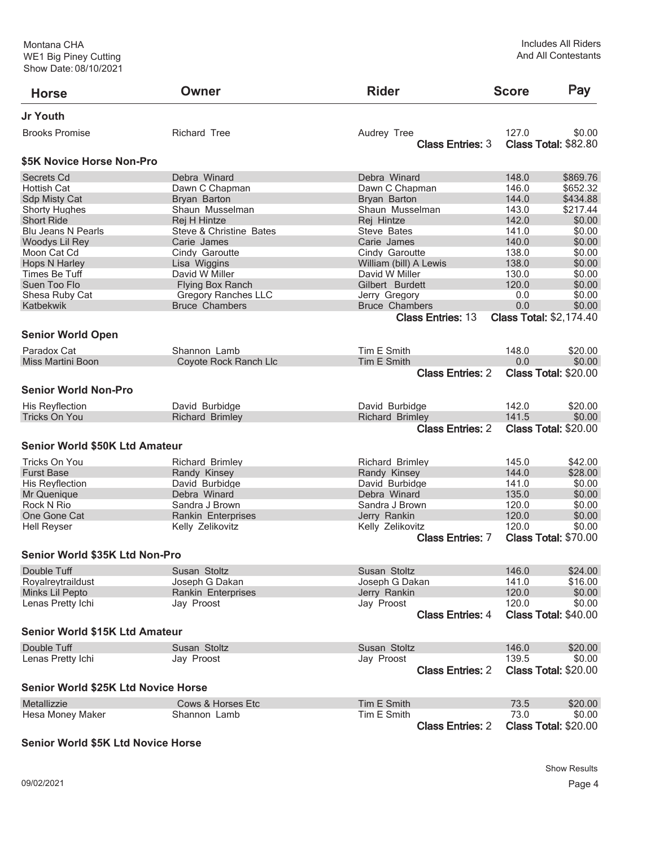| <b>Horse</b>                               | Owner                      | <b>Rider</b>             | <b>Score</b> | Pay                            |
|--------------------------------------------|----------------------------|--------------------------|--------------|--------------------------------|
| Jr Youth                                   |                            |                          |              |                                |
| <b>Brooks Promise</b>                      | <b>Richard Tree</b>        | Audrey Tree              | 127.0        | \$0.00                         |
|                                            |                            | <b>Class Entries: 3</b>  |              | <b>Class Total: \$82.80</b>    |
| \$5K Novice Horse Non-Pro                  |                            |                          |              |                                |
| Secrets Cd                                 | Debra Winard               | Debra Winard             | 148.0        | \$869.76                       |
| <b>Hottish Cat</b>                         | Dawn C Chapman             | Dawn C Chapman           | 146.0        | \$652.32                       |
| Sdp Misty Cat                              | Bryan Barton               | Bryan Barton             | 144.0        | \$434.88                       |
| <b>Shorty Hughes</b>                       | Shaun Musselman            | Shaun Musselman          | 143.0        | \$217.44                       |
| <b>Short Ride</b>                          | Rej H Hintze               | Rej Hintze               | 142.0        | \$0.00                         |
| Blu Jeans N Pearls                         | Steve & Christine Bates    | Steve Bates              | 141.0        | \$0.00                         |
| Woodys Lil Rey                             | Carie James                | Carie James              | 140.0        | \$0.00                         |
| Moon Cat Cd                                | Cindy Garoutte             | Cindy Garoutte           | 138.0        | \$0.00                         |
| <b>Hops N Harley</b>                       | Lisa Wiggins               | William (bill) A Lewis   | 138.0        | \$0.00                         |
| Times Be Tuff                              | David W Miller             | David W Miller           | 130.0        | \$0.00                         |
| Suen Too Flo                               | <b>Flying Box Ranch</b>    | Gilbert Burdett          | 120.0        | \$0.00                         |
| Shesa Ruby Cat                             | <b>Gregory Ranches LLC</b> | Jerry Gregory            | 0.0          | \$0.00                         |
| Katbekwik                                  | <b>Bruce Chambers</b>      | <b>Bruce Chambers</b>    | 0.0          | \$0.00                         |
|                                            |                            | <b>Class Entries: 13</b> |              | <b>Class Total: \$2,174.40</b> |
| <b>Senior World Open</b>                   |                            |                          |              |                                |
| Paradox Cat                                | Shannon Lamb               | Tim E Smith              | 148.0        | \$20.00                        |
| <b>Miss Martini Boon</b>                   | Coyote Rock Ranch Llc      | Tim E Smith              | 0.0          | \$0.00                         |
|                                            |                            | <b>Class Entries: 2</b>  |              | <b>Class Total: \$20.00</b>    |
| <b>Senior World Non-Pro</b>                |                            |                          |              |                                |
|                                            |                            |                          |              |                                |
| His Reyflection                            | David Burbidge             | David Burbidge           | 142.0        | \$20.00                        |
| <b>Tricks On You</b>                       | <b>Richard Brimley</b>     | <b>Richard Brimley</b>   | 141.5        | \$0.00                         |
|                                            |                            | <b>Class Entries: 2</b>  |              | <b>Class Total: \$20.00</b>    |
| <b>Senior World \$50K Ltd Amateur</b>      |                            |                          |              |                                |
| Tricks On You                              | <b>Richard Brimley</b>     | <b>Richard Brimley</b>   | 145.0        | \$42.00                        |
| <b>Furst Base</b>                          | Randy Kinsey               | Randy Kinsey             | 144.0        | \$28.00                        |
| His Reyflection                            | David Burbidge             | David Burbidge           | 141.0        | \$0.00                         |
| Mr Quenique                                | Debra Winard               | Debra Winard             | 135.0        | \$0.00                         |
| Rock N Rio                                 | Sandra J Brown             | Sandra J Brown           | 120.0        | \$0.00                         |
| One Gone Cat                               | Rankin Enterprises         | Jerry Rankin             | 120.0        | \$0.00                         |
| <b>Hell Reyser</b>                         | Kelly Zelikovitz           | Kelly Zelikovitz         | 120.0        | \$0.00                         |
|                                            |                            | <b>Class Entries: 7</b>  |              | <b>Class Total: \$70.00</b>    |
| Senior World \$35K Ltd Non-Pro             |                            |                          |              |                                |
| Double Tuff                                | Susan Stoltz               | Susan Stoltz             | 146.0        | \$24.00                        |
| Royalreytraildust                          | Joseph G Dakan             | Joseph G Dakan           | 141.0        | \$16.00                        |
| Minks Lil Pepto                            | Rankin Enterprises         | Jerry Rankin             | 120.0        | \$0.00                         |
| Lenas Pretty Ichi                          | Jay Proost                 | Jay Proost               | 120.0        | \$0.00                         |
|                                            |                            | <b>Class Entries: 4</b>  |              | <b>Class Total: \$40.00</b>    |
| Senior World \$15K Ltd Amateur             |                            |                          |              |                                |
| Double Tuff                                | Susan Stoltz               | Susan Stoltz             | 146.0        | \$20.00                        |
| Lenas Pretty Ichi                          | Jay Proost                 | Jay Proost               | 139.5        | \$0.00                         |
|                                            |                            | <b>Class Entries: 2</b>  |              | <b>Class Total: \$20.00</b>    |
| <b>Senior World \$25K Ltd Novice Horse</b> |                            |                          |              |                                |
| Metallizzie                                | Cows & Horses Etc          | Tim E Smith              | 73.5         | \$20.00                        |
| Hesa Money Maker                           | Shannon Lamb               | Tim E Smith              | 73.0         | \$0.00                         |
|                                            |                            | <b>Class Entries: 2</b>  |              | <b>Class Total: \$20.00</b>    |

## **Senior World \$5K Ltd Novice Horse**